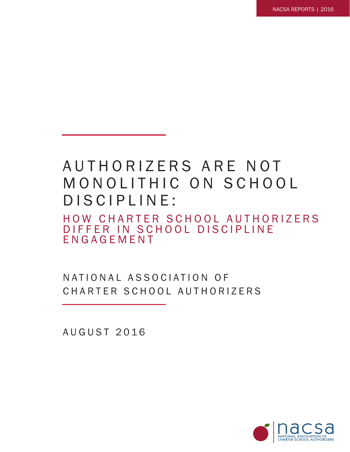# AUTHORIZERS ARE NOT MONOLITHIC ON SCHOOL D IS CIPLINE:

HOW CHARTER SCHOOL AUTHORIZERS D I F F E R IN SCHOOL DISCIPLINE ENGAGEMENT

N A T I O N A L A S SO C I A T I O N O F CHARTER SCHOOL AUTHORIZERS

AUGUST 2016

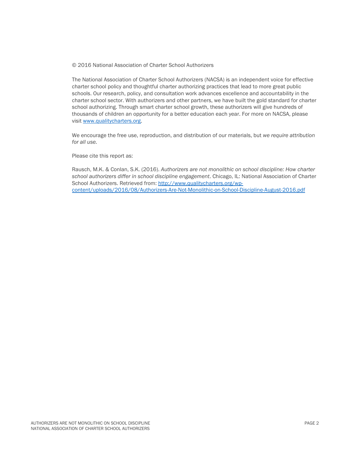#### © 2016 National Association of Charter School Authorizers

The National Association of Charter School Authorizers (NACSA) is an independent voice for effective charter school policy and thoughtful charter authorizing practices that lead to more great public schools. Our research, policy, and consultation work advances excellence and accountability in the charter school sector. With authorizers and other partners, we have built the gold standard for charter school authorizing. Through smart charter school growth, these authorizers will give hundreds of thousands of children an opportunity for a better education each year. For more on NACSA, please visit [www.qualitycharters.org.](http://www.qualitycharters.org/)

We encourage the free use, reproduction, and distribution of our materials, but *we require attribution for all use.* 

Please cite this report as:

Rausch, M.K. & Conlan, S.K. (2016). *Authorizers are not monolithic on school discipline: How charter school authorizers differ in school discipline engagement*. Chicago, IL: National Association of Charter School Authorizers. Retrieved from: [http://www.qualitycharters.org/wp](http://www.qualitycharters.org/wp-content/uploads/2016/08/Authorizers-Are-Not-Monolithic-on-School-Discipline-August-2016.pdf)[content/uploads/2016/08/Authorizers-Are-Not-Monolithic-on-School-Discipline-August-2016.pdf](http://www.qualitycharters.org/wp-content/uploads/2016/08/Authorizers-Are-Not-Monolithic-on-School-Discipline-August-2016.pdf)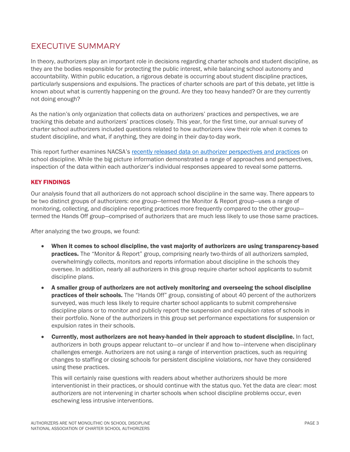# EXECUTIVE SUMMARY

In theory, authorizers play an important role in decisions regarding charter schools and student discipline, as they are the bodies responsible for protecting the public interest, while balancing school autonomy and accountability. Within public education, a rigorous debate is occurring about student discipline practices, particularly suspensions and expulsions. The practices of charter schools are part of this debate, yet little is known about what is currently happening on the ground. Are they too heavy handed? Or are they currently not doing enough?

As the nation's only organization that collects data on authorizers' practices and perspectives, we are tracking this debate and authorizers' practices closely. This year, for the first time, our annual survey of charter school authorizers included questions related to how authorizers view their role when it comes to student discipline, and what, if anything, they are doing in their day-to-day work.

This report further examines NACSA's [recently released data on authorizer perspectives and practices](http://www.qualitycharters.org/research-policies/archive/authorizing-data-depth-discipline/) on school discipline. While the big picture information demonstrated a range of approaches and perspectives, inspection of the data within each authorizer's individual responses appeared to reveal some patterns.

### KEY FINDINGS

Our analysis found that all authorizers do not approach school discipline in the same way. There appears to be two distinct groups of authorizers: one group—termed the Monitor & Report group—uses a range of monitoring, collecting, and discipline reporting practices more frequently compared to the other group termed the Hands Off group—comprised of authorizers that are much less likely to use those same practices.

After analyzing the two groups, we found:

- When it comes to school discipline, the vast majority of authorizers are using transparency-based practices. The "Monitor & Report" group, comprising nearly two-thirds of all authorizers sampled, overwhelmingly collects, monitors and reports information about discipline in the schools they oversee. In addition, nearly all authorizers in this group require charter school applicants to submit discipline plans.
- A smaller group of authorizers are not actively monitoring and overseeing the school discipline **practices of their schools.** The "Hands Off" group, consisting of about 40 percent of the authorizers surveyed, was much less likely to require charter school applicants to submit comprehensive discipline plans or to monitor and publicly report the suspension and expulsion rates of schools in their portfolio. None of the authorizers in this group set performance expectations for suspension or expulsion rates in their schools.
- Currently, most authorizers are not heavy-handed in their approach to student discipline. In fact, authorizers in both groups appear reluctant to—or unclear if and how to—intervene when disciplinary challenges emerge. Authorizers are not using a range of intervention practices, such as requiring changes to staffing or closing schools for persistent discipline violations, nor have they considered using these practices.

This will certainly raise questions with readers about whether authorizers should be more interventionist in their practices, or should continue with the status quo. Yet the data are clear: most authorizers are not intervening in charter schools when school discipline problems occur, even eschewing less intrusive interventions.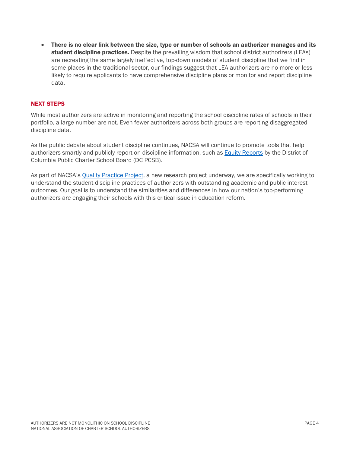• There is no clear link between the size, type or number of schools an authorizer manages and its student discipline practices. Despite the prevailing wisdom that school district authorizers (LEAs) are recreating the same largely ineffective, top-down models of student discipline that we find in some places in the traditional sector, our findings suggest that LEA authorizers are no more or less likely to require applicants to have comprehensive discipline plans or monitor and report discipline data.

### NEXT STEPS

While most authorizers are active in monitoring and reporting the school discipline rates of schools in their portfolio, a large number are not. Even fewer authorizers across both groups are reporting disaggregated discipline data.

As the public debate about student discipline continues, NACSA will continue to promote tools that help authorizers smartly and publicly report on discipline information, such as [Equity Reports](http://www.qualitycharters.org/2016/07/honest-approach-school-discipline/) by the District of Columbia Public Charter School Board (DC PCSB).

As part of NACSA'[s Quality Practice Project,](http://www.qualitycharters.org/research-policies/archive/quality-practice-project/) a new research project underway, we are specifically working to understand the student discipline practices of authorizers with outstanding academic and public interest outcomes. Our goal is to understand the similarities and differences in how our nation's top-performing authorizers are engaging their schools with this critical issue in education reform.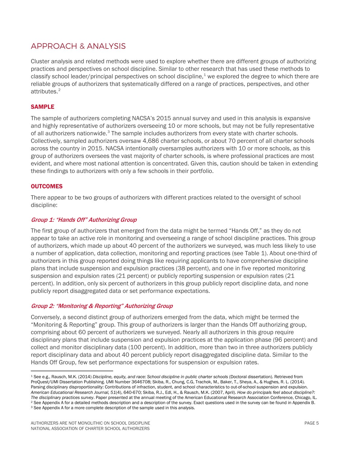## APPROACH & ANALYSIS

Cluster analysis and related methods were used to explore whether there are different groups of authorizing practices and perspectives on school discipline. Similar to other research that has used these methods to classify school leader/principal perspectives on school discipline, $^1$  $^1$  we explored the degree to which there are reliable groups of authorizers that systematically differed on a range of practices, perspectives, and other attributes.[2](#page-4-1)

### SAMPLE

The sample of authorizers completing NACSA's 2015 annual survey and used in this analysis is expansive and highly representative of authorizers overseeing 10 or more schools, but may not be fully representative of all authorizers nationwide. $3$  The sample includes authorizers from every state with charter schools. Collectively, sampled authorizers oversaw 4,686 charter schools, or about 70 percent of all charter schools across the country in 2015. NACSA intentionally oversamples authorizers with 10 or more schools, as this group of authorizers oversees the vast majority of charter schools, is where professional practices are most evident, and where most national attention is concentrated. Given this, caution should be taken in extending these findings to authorizers with only a few schools in their portfolio.

### **OUTCOMES**

There appear to be two groups of authorizers with different practices related to the oversight of school discipline:

### Group 1: "Hands Off" Authorizing Group

The first group of authorizers that emerged from the data might be termed "Hands Off," as they do not appear to take an active role in monitoring and overseeing a range of school discipline practices. This group of authorizers, which made up about 40 percent of the authorizers we surveyed, was much less likely to use a number of application, data collection, monitoring and reporting practices (see Table 1). About one-third of authorizers in this group reported doing things like requiring applicants to have comprehensive discipline plans that include suspension and expulsion practices (38 percent), and one in five reported monitoring suspension and expulsion rates (21 percent) or publicly reporting suspension or expulsion rates (21 percent). In addition, only six percent of authorizers in this group publicly report discipline data, and none publicly report disaggregated data or set performance expectations.

### Group 2: "Monitoring & Reporting" Authorizing Group

Conversely, a second distinct group of authorizers emerged from the data, which might be termed the "Monitoring & Reporting" group. This group of authorizers is larger than the Hands Off authorizing group, comprising about 60 percent of authorizers we surveyed. Nearly all authorizers in this group require disciplinary plans that include suspension and expulsion practices at the application phase (96 percent) and collect and monitor disciplinary data (100 percent). In addition, more than two in three authorizers publicly report disciplinary data and about 40 percent publicly report disaggregated discipline data. Similar to the Hands Off Group, few set performance expectations for suspension or expulsion rates.

<span id="page-4-0"></span> <sup>1</sup> See e.g., Rausch, M.K. (2014) *Discipline, equity, and race: School discipline in public charter schools* (Doctoral dissertation). Retrieved from ProQuest/UMI Dissertation Publishing. UMI Number 3646708; Skiba, R., Chung, C.G, Trachok, M., Baker, T., Sheya, A., & Hughes, R. L. (2014). Parsing disciplinary disproportionality: Contributions of infraction, student, and school characteristics to out-of-school suspension and expulsion. *American Educational Research Journal, 51*(4), 640-670; Skiba, R.J., Edl, H., & Rausch, M.K. (2007, April). *How do principals feel about discipline?:*  <sup>2</sup> See Appendix A for a detailed methods description and a description of the survey. Exact questions used in the survey can be found in Appendix B. <sup>3</sup> See Appendix A for a more complete description of the sample used in this analysis.

<span id="page-4-2"></span><span id="page-4-1"></span>AUTHORIZERS ARE NOT MONOLITHIC ON SCHOOL DISCIPLINE PAGE 5 NATIONAL ASSOCIATION OF CHARTER SCHOOL AUTHORIZERS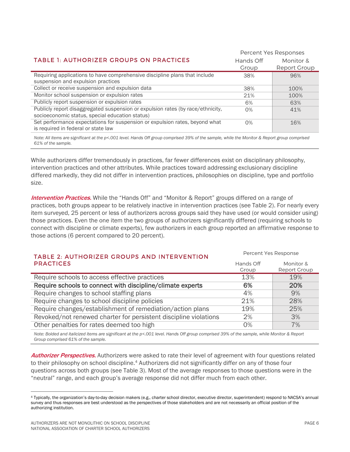|                                                                                                                    | Percent Yes Responses |              |
|--------------------------------------------------------------------------------------------------------------------|-----------------------|--------------|
| <b>TABLE 1: AUTHORIZER GROUPS ON PRACTICES</b>                                                                     | Hands Off             | Monitor &    |
|                                                                                                                    | Group                 | Report Group |
| Requiring applications to have comprehensive discipline plans that include                                         | 38%                   | 96%          |
| suspension and expulsion practices                                                                                 |                       |              |
| Collect or receive suspension and expulsion data                                                                   | 38%                   | 100%         |
| Monitor school suspension or expulsion rates                                                                       | 21%                   | 100%         |
| Publicly report suspension or expulsion rates                                                                      | 6%                    | 63%          |
| Publicly report disaggregated suspension or expulsion rates (by race/ethnicity,                                    | $O\%$                 | 41%          |
| socioeconomic status, special education status)                                                                    |                       |              |
| Set performance expectations for suspension or expulsion rates, beyond what<br>is required in federal or state law | $O\%$                 | 16%          |
|                                                                                                                    |                       |              |

*Note: All items are significant at the p<.001 level. Hands Off group comprised 39% of the sample, while the Monitor & Report group comprised 61% of the sample.*

While authorizers differ tremendously in practices, far fewer differences exist on disciplinary philosophy, intervention practices and other attributes. While practices toward addressing exclusionary discipline differed markedly, they did not differ in intervention practices, philosophies on discipline, type and portfolio size.

Intervention Practices. While the "Hands Off" and "Monitor & Report" groups differed on a range of practices, both groups appear to be relatively inactive in intervention practices (see Table 2). For nearly every item surveyed, 25 percent or less of authorizers across groups said they have used (or would consider using) those practices. Even the one item the two groups of authorizers significantly differed (requiring schools to connect with discipline or climate experts), few authorizers in each group reported an affirmative response to those actions (6 percent compared to 20 percent).

| TABLE 2: AUTHORIZER GROUPS AND INTERVENTION                      | Percent Yes Response |              |
|------------------------------------------------------------------|----------------------|--------------|
| <b>PRACTICES</b>                                                 | Hands Off            | Monitor &    |
|                                                                  | Group                | Report Group |
| Require schools to access effective practices                    | 13%                  | 19%          |
| Require schools to connect with discipline/climate experts       | 6%                   | 20%          |
| Require changes to school staffing plans                         | 4%                   | 9%           |
| Require changes to school discipline policies                    | 21%                  | 28%          |
| Require changes/establishment of remediation/action plans        | 19%                  | 25%          |
| Revoked/not renewed charter for persistent discipline violations | 2%                   | 3%           |
| Other penalties for rates deemed too high                        | 0%                   | 7%           |

*Note: Bolded and italicized items are significant at the p<.001 level. Hands Off group comprised 39% of the sample, while Monitor & Report Group comprised 61% of the sample.*

**Authorizer Perspectives.** Authorizers were asked to rate their level of agreement with four questions related to their philosophy on school discipline.<sup>[4](#page-5-0)</sup> Authorizers did not significantly differ on any of those four questions across both groups (see Table 3). Most of the average responses to those questions were in the "neutral" range, and each group's average response did not differ much from each other.

<span id="page-5-0"></span> <sup>4</sup> Typically, the organization's day-to-day decision makers (e.g., charter school director, executive director, superintendent) respond to NACSA's annual survey and thus responses are best understood as the perspectives of those stakeholders and are not necessarily an official position of the authorizing institution.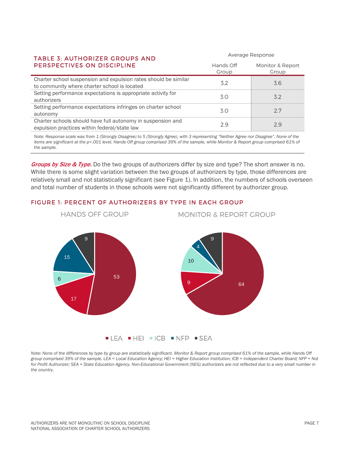### TABLE 3: AUTHORIZER GROUPS AND PERSPECTIVES ON DISCIPLINE

| TABLE 5: AUTHORIZER GROUPS AND<br>PERSPECTIVES ON DISCIPLINE                                                    | Hands Off<br>Group | Monitor & Report<br>Group |
|-----------------------------------------------------------------------------------------------------------------|--------------------|---------------------------|
| Charter school suspension and expulsion rates should be similar<br>to community where charter school is located | 3.2                | 3.6                       |
| Setting performance expectations is appropriate activity for<br>authorizers                                     | 3.0                | 3.2                       |
| Setting performance expectations infringes on charter school<br>autonomy                                        | 3.0                | 2.7                       |
| Charter schools should have full autonomy in suspension and<br>expulsion practices within federal/state law     | 29                 | 29                        |
|                                                                                                                 |                    |                           |

Average Response

*Note: Response scale was from 1 (Strongly Disagree) to 5 (Strongly Agree), with 3 representing "Neither Agree nor Disagree". None of the items are significant at the p<.001 level. Hands Off group comprised 39% of the sample, while Monitor & Report group comprised 61% of the sample.*

Groups by Size & Type. Do the two groups of authorizers differ by size and type? The short answer is no. While there is some slight variation between the two groups of authorizers by type, those differences are relatively small and not statistically significant (see Figure 1). In addition, the numbers of schools overseen and total number of students in those schools were not significantly different by authorizer group.

### FIGURE 1: PERCENT OF AUTHORIZERS BY TYPE IN EACH GROUP



*Note: None of the differences by type by group are statistically significant. Monitor & Report group comprised 61% of the sample, while Hands Off group comprised 39% of the sample. LEA = Local Education Agency; HEI = Higher Education Institution; ICB = Independent Charter Board; NFP = Not*  for Profit Authorizer; SEA = State Education Agency. Non-Educational Government (NEG) authorizers are not reflected due to a very small number in *the country.*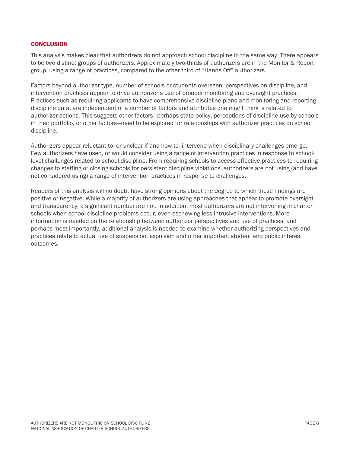### **CONCLUSION**

This analysis makes clear that authorizers do not approach school discipline in the same way. There appears to be two distinct groups of authorizers. Approximately two-thirds of authorizers are in the Monitor & Report group, using a range of practices, compared to the other third of "Hands Off" authorizers.

Factors beyond authorizer type, number of schools or students overseen, perspectives on discipline, and intervention practices appear to drive authorizer's use of broader monitoring and oversight practices. Practices such as requiring applicants to have comprehensive discipline plans and monitoring and reporting discipline data, are independent of a number of factors and attributes one might think is related to authorizer actions. This suggests other factors—perhaps state policy, perceptions of discipline use by schools in their portfolio, or other factors—need to be explored for relationships with authorizer practices on school discipline.

Authorizers appear reluctant to--or unclear if and how to--intervene when disciplinary challenges emerge. Few authorizers have used, or would consider using a range of intervention practices in response to schoollevel challenges related to school discipline. From requiring schools to access effective practices to requiring changes to staffing or closing schools for persistent discipline violations, authorizers are not using (and have not considered using) a range of intervention practices in response to challenges.

Readers of this analysis will no doubt have strong opinions about the degree to which these findings are positive or negative. While a majority of authorizers are using approaches that appear to promote oversight and transparency, a significant number are not. In addition, most authorizers are not intervening in charter schools when school discipline problems occur, even eschewing less intrusive interventions. More information is needed on the relationship between authorizer perspectives and use of practices, and perhaps most importantly, additional analysis is needed to examine whether authorizing perspectives and practices relate to actual use of suspension, expulsion and other important student and public interest outcomes.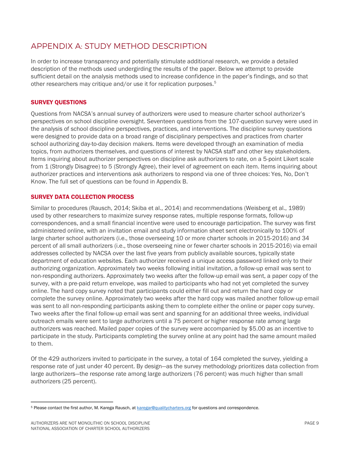## APPENDIX A: STUDY METHOD DESCRIPTION

In order to increase transparency and potentially stimulate additional research, we provide a detailed description of the methods used undergirding the results of the paper. Below we attempt to provide sufficient detail on the analysis methods used to increase confidence in the paper's findings, and so that other researchers may critique and/or use it for replication purposes.<sup>[5](#page-8-0)</sup>

### SURVEY QUESTIONS

Questions from NACSA's annual survey of authorizers were used to measure charter school authorizer's perspectives on school discipline oversight. Seventeen questions from the 107-question survey were used in the analysis of school discipline perspectives, practices, and interventions. The discipline survey questions were designed to provide data on a broad range of disciplinary perspectives and practices from charter school authorizing day-to-day decision makers. Items were developed through an examination of media topics, from authorizers themselves, and questions of interest by NACSA staff and other key stakeholders. Items inquiring about authorizer perspectives on discipline ask authorizers to rate, on a 5-point Likert scale from 1 (Strongly Disagree) to 5 (Strongly Agree), their level of agreement on each item. Items inquiring about authorizer practices and interventions ask authorizers to respond via one of three choices: Yes, No, Don't Know. The full set of questions can be found in Appendix B.

### SURVEY DATA COLLECTION PROCESS

Similar to procedures (Rausch, 2014; Skiba et al., 2014) and recommendations (Weisberg et al., 1989) used by other researchers to maximize survey response rates, multiple response formats, follow-up correspondences, and a small financial incentive were used to encourage participation. The survey was first administered online, with an invitation email and study information sheet sent electronically to 100% of large charter school authorizers (i.e., those overseeing 10 or more charter schools in 2015-2016) and 34 percent of all small authorizers (i.e., those overseeing nine or fewer charter schools in 2015-2016) via email addresses collected by NACSA over the last five years from publicly available sources, typically state department of education websites. Each authorizer received a unique access password linked only to their authorizing organization. Approximately two weeks following initial invitation, a follow-up email was sent to non-responding authorizers. Approximately two weeks after the follow-up email was sent, a paper copy of the survey, with a pre-paid return envelope, was mailed to participants who had not yet completed the survey online. The hard copy survey noted that participants could either fill out and return the hard copy or complete the survey online. Approximately two weeks after the hard copy was mailed another follow-up email was sent to all non-responding participants asking them to complete either the online or paper copy survey. Two weeks after the final follow-up email was sent and spanning for an additional three weeks, individual outreach emails were sent to large authorizers until a 75 percent or higher response rate among large authorizers was reached. Mailed paper copies of the survey were accompanied by \$5.00 as an incentive to participate in the study. Participants completing the survey online at any point had the same amount mailed to them.

Of the 429 authorizers invited to participate in the survey, a total of 164 completed the survey, yielding a response rate of just under 40 percent. By design—as the survey methodology prioritizes data collection from large authorizers—the response rate among large authorizers (76 percent) was much higher than small authorizers (25 percent).

<span id="page-8-0"></span><sup>5</sup> Please contact the first author, M. Karega Rausch, a[t karegar@qualitycharters.org](mailto:karegar@qualitycharters.org) for questions and correspondence.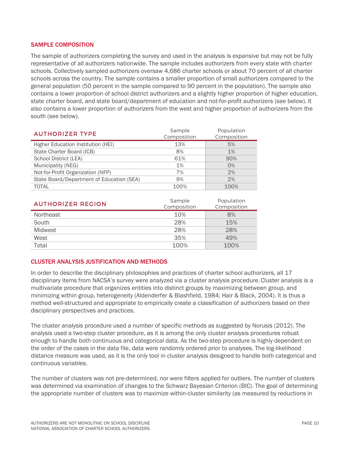### SAMPLE COMPOSITION

The sample of authorizers completing the survey and used in the analysis is expansive but may not be fully representative of all authorizers nationwide. The sample includes authorizers from every state with charter schools. Collectively sampled authorizers oversaw 4,686 charter schools or about 70 percent of all charter schools across the country. The sample contains a smaller proportion of small authorizers compared to the general population (50 percent in the sample compared to 90 percent in the population). The sample also contains a lower proportion of school district authorizers and a slightly higher proportion of higher education, state charter board, and state board/department of education and not-for-profit authorizers (see below). It also contains a lower proportion of authorizers from the west and higher proportion of authorizers from the south (see below).

| <b>AUTHORIZER TYPE</b>                    | Sample<br>Composition | Population<br>Composition |
|-------------------------------------------|-----------------------|---------------------------|
| Higher Education Institution (HEI)        | 13%                   | 5%                        |
| State Charter Board (ICB)                 | 8%                    | 1%                        |
| School District (LEA)                     | 61%                   | 90%                       |
| Municipality (NEG)                        | 1%                    | O%                        |
| Not-for-Profit Organization (NFP)         | 7%                    | 2%                        |
| State Board/Department of Education (SEA) | 9%                    | 2%                        |
| <b>TOTAL</b>                              | 100%                  | 100%                      |

| <b>AUTHORIZER REGION</b> | Sample<br>Composition | Population<br>Composition |
|--------------------------|-----------------------|---------------------------|
| Northeast                | 10%                   | 8%                        |
| South                    | 28%                   | 15%                       |
| Midwest                  | 28%                   | 28%                       |
| West                     | 35%                   | 49%                       |
| Total                    | 100%                  | 100%                      |

### CLUSTER ANALYSIS JUSTIFICATION AND METHODS

In order to describe the disciplinary philosophies and practices of charter school authorizers, all 17 disciplinary items from NACSA's survey were analyzed via a cluster analysis procedure.Cluster analysis is a multivariate procedure that organizes entities into distinct groups by maximizing between group, and minimizing within group, heterogeneity (Aldenderfer & Blashfield, 1984; Hair & Black, 2004). It is thus a method well-structured and appropriate to empirically create a classification of authorizers based on their disciplinary perspectives and practices.

The cluster analysis procedure used a number of specific methods as suggested by Norusis (2012). The analysis used a two-step cluster procedure, as it is among the only cluster analysis procedures robust enough to handle both continuous and categorical data. As the two-step procedure is highly dependent on the order of the cases in the data file, data were randomly ordered prior to analyses. The log-likelihood distance measure was used, as it is the only tool in cluster analysis designed to handle both categorical and continuous variables.

The number of clusters was not pre-determined, nor were filters applied for outliers. The number of clusters was determined via examination of changes to the Schwarz Bayesian Criterion (BIC). The goal of determining the appropriate number of clusters was to maximize within-cluster similarity (as measured by reductions in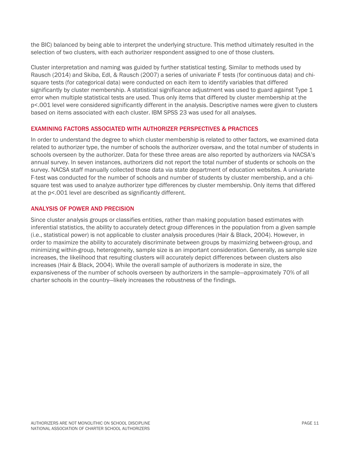the BIC) balanced by being able to interpret the underlying structure. This method ultimately resulted in the selection of two clusters, with each authorizer respondent assigned to one of those clusters.

Cluster interpretation and naming was guided by further statistical testing. Similar to methods used by Rausch (2014) and Skiba, Edl, & Rausch (2007) a series of univariate F tests (for continuous data) and chisquare tests (for categorical data) were conducted on each item to identify variables that differed significantly by cluster membership. A statistical significance adjustment was used to guard against Type 1 error when multiple statistical tests are used. Thus only items that differed by cluster membership at the p<.001 level were considered significantly different in the analysis. Descriptive names were given to clusters based on items associated with each cluster. IBM SPSS 23 was used for all analyses.

### EXAMINING FACTORS ASSOCIATED WITH AUTHORIZER PERSPECTIVES & PRACTICES

In order to understand the degree to which cluster membership is related to other factors, we examined data related to authorizer type, the number of schools the authorizer oversaw, and the total number of students in schools overseen by the authorizer. Data for these three areas are also reported by authorizers via NACSA's annual survey. In seven instances, authorizers did not report the total number of students or schools on the survey. NACSA staff manually collected those data via state department of education websites. A univariate F-test was conducted for the number of schools and number of students by cluster membership, and a chisquare test was used to analyze authorizer type differences by cluster membership. Only items that differed at the p<.001 level are described as significantly different.

### ANALYSIS OF POWER AND PRECISION

Since cluster analysis groups or classifies entities, rather than making population based estimates with inferential statistics, the ability to accurately detect group differences in the population from a given sample (i.e., statistical power) is not applicable to cluster analysis procedures (Hair & Black, 2004). However, in order to maximize the ability to accurately discriminate between groups by maximizing between-group, and minimizing within-group, heterogeneity, sample size is an important consideration. Generally, as sample size increases, the likelihood that resulting clusters will accurately depict differences between clusters also increases (Hair & Black, 2004). While the overall sample of authorizers is moderate in size, the expansiveness of the number of schools overseen by authorizers in the sample—approximately 70% of all charter schools in the country—likely increases the robustness of the findings.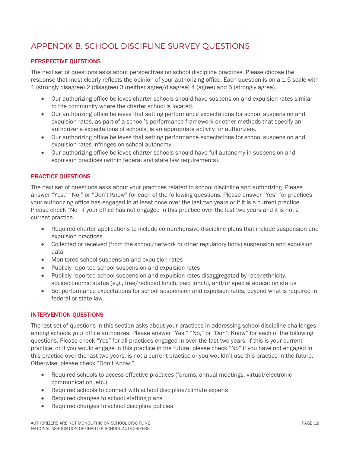# APPENDIX B: SCHOOL DISCIPLINE SURVEY QUESTIONS

### PERSPECTIVE QUESTIONS

The next set of questions asks about perspectives on school discipline practices. Please choose the response that most clearly reflects the opinion of your authorizing office. Each question is on a 1-5 scale with 1 (strongly disagree) 2 (disagree) 3 (neither agree/disagree) 4 (agree) and 5 (strongly agree).

- Our authorizing office believes charter schools should have suspension and expulsion rates similar to the community where the charter school is located.
- Our authorizing office believes that setting performance expectations for school suspension and expulsion rates, as part of a school's performance framework or other methods that specify an authorizer's expectations of schools, is an appropriate activity for authorizers.
- Our authorizing office believes that setting performance expectations for school suspension and expulsion rates infringes on school autonomy.
- Our authorizing office believes charter schools should have full autonomy in suspension and expulsion practices (within federal and state law requirements).

### PRACTICE QUESTIONS

The next set of questions asks about your practices related to school discipline and authorizing. Please answer "Yes," "No," or "Don't Know" for each of the following questions. Please answer "Yes" for practices your authorizing office has engaged in at least once over the last two years or if it is a current practice. Please check "No" if your office has not engaged in this practice over the last two years and it is not a current practice.

- Required charter applications to include comprehensive discipline plans that include suspension and expulsion practices
- Collected or received (from the school/network or other regulatory body) suspension and expulsion data
- Monitored school suspension and expulsion rates
- Publicly reported school suspension and expulsion rates
- Publicly reported school suspension and expulsion rates disaggregated by race/ethnicity, socioeconomic status (e.g., free/reduced lunch, paid lunch), and/or special education status
- Set performance expectations for school suspension and expulsion rates, beyond what is required in federal or state law.

### INTERVENTION QUESTIONS

The last set of questions in this section asks about your practices in addressing school discipline challenges among schools your office authorizes. Please answer "Yes," "No," or "Don't Know" for each of the following questions. Please check "Yes" for all practices engaged in over the last two years, if this is your current practice, or if you would engage in this practice in the future; please check "No" if you have not engaged in this practice over the last two years, is not a current practice or you wouldn't use this practice in the future. Otherwise, please check "Don't Know."

- Required schools to access effective practices (forums, annual meetings, virtual/electronic communication, etc.)
- Required schools to connect with school discipline/climate experts
- Required changes to school staffing plans
- Required changes to school discipline policies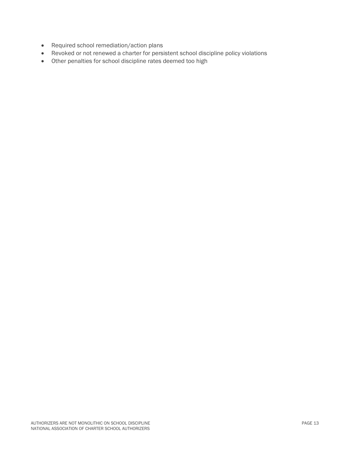- Required school remediation/action plans
- Revoked or not renewed a charter for persistent school discipline policy violations
- Other penalties for school discipline rates deemed too high